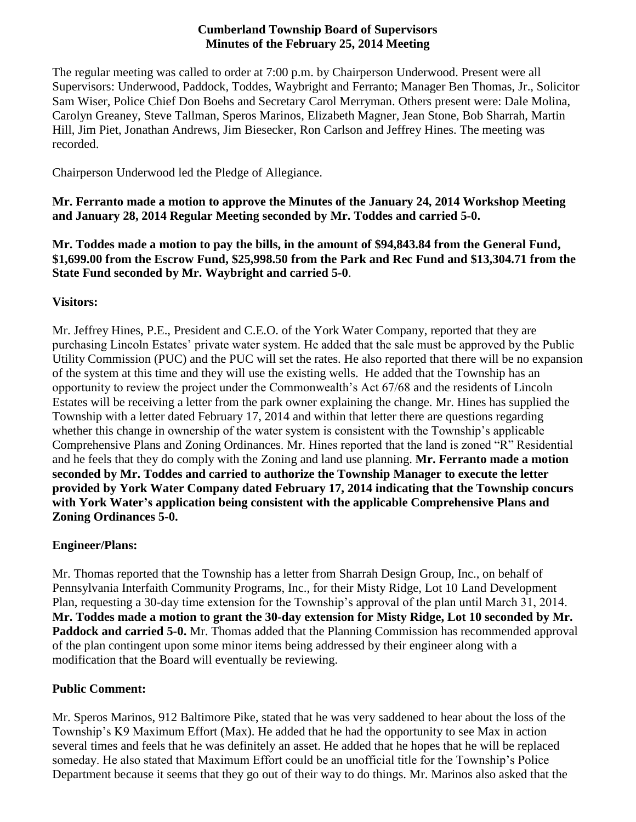#### **Cumberland Township Board of Supervisors Minutes of the February 25, 2014 Meeting**

The regular meeting was called to order at 7:00 p.m. by Chairperson Underwood. Present were all Supervisors: Underwood, Paddock, Toddes, Waybright and Ferranto; Manager Ben Thomas, Jr., Solicitor Sam Wiser, Police Chief Don Boehs and Secretary Carol Merryman. Others present were: Dale Molina, Carolyn Greaney, Steve Tallman, Speros Marinos, Elizabeth Magner, Jean Stone, Bob Sharrah, Martin Hill, Jim Piet, Jonathan Andrews, Jim Biesecker, Ron Carlson and Jeffrey Hines. The meeting was recorded.

Chairperson Underwood led the Pledge of Allegiance.

**Mr. Ferranto made a motion to approve the Minutes of the January 24, 2014 Workshop Meeting and January 28, 2014 Regular Meeting seconded by Mr. Toddes and carried 5-0.**

**Mr. Toddes made a motion to pay the bills, in the amount of \$94,843.84 from the General Fund, \$1,699.00 from the Escrow Fund, \$25,998.50 from the Park and Rec Fund and \$13,304.71 from the State Fund seconded by Mr. Waybright and carried 5-0**.

# **Visitors:**

Mr. Jeffrey Hines, P.E., President and C.E.O. of the York Water Company, reported that they are purchasing Lincoln Estates' private water system. He added that the sale must be approved by the Public Utility Commission (PUC) and the PUC will set the rates. He also reported that there will be no expansion of the system at this time and they will use the existing wells. He added that the Township has an opportunity to review the project under the Commonwealth's Act 67/68 and the residents of Lincoln Estates will be receiving a letter from the park owner explaining the change. Mr. Hines has supplied the Township with a letter dated February 17, 2014 and within that letter there are questions regarding whether this change in ownership of the water system is consistent with the Township's applicable Comprehensive Plans and Zoning Ordinances. Mr. Hines reported that the land is zoned "R" Residential and he feels that they do comply with the Zoning and land use planning. **Mr. Ferranto made a motion seconded by Mr. Toddes and carried to authorize the Township Manager to execute the letter provided by York Water Company dated February 17, 2014 indicating that the Township concurs with York Water's application being consistent with the applicable Comprehensive Plans and Zoning Ordinances 5-0.**

# **Engineer/Plans:**

Mr. Thomas reported that the Township has a letter from Sharrah Design Group, Inc., on behalf of Pennsylvania Interfaith Community Programs, Inc., for their Misty Ridge, Lot 10 Land Development Plan, requesting a 30-day time extension for the Township's approval of the plan until March 31, 2014. **Mr. Toddes made a motion to grant the 30-day extension for Misty Ridge, Lot 10 seconded by Mr. Paddock and carried 5-0.** Mr. Thomas added that the Planning Commission has recommended approval of the plan contingent upon some minor items being addressed by their engineer along with a modification that the Board will eventually be reviewing.

# **Public Comment:**

Mr. Speros Marinos, 912 Baltimore Pike, stated that he was very saddened to hear about the loss of the Township's K9 Maximum Effort (Max). He added that he had the opportunity to see Max in action several times and feels that he was definitely an asset. He added that he hopes that he will be replaced someday. He also stated that Maximum Effort could be an unofficial title for the Township's Police Department because it seems that they go out of their way to do things. Mr. Marinos also asked that the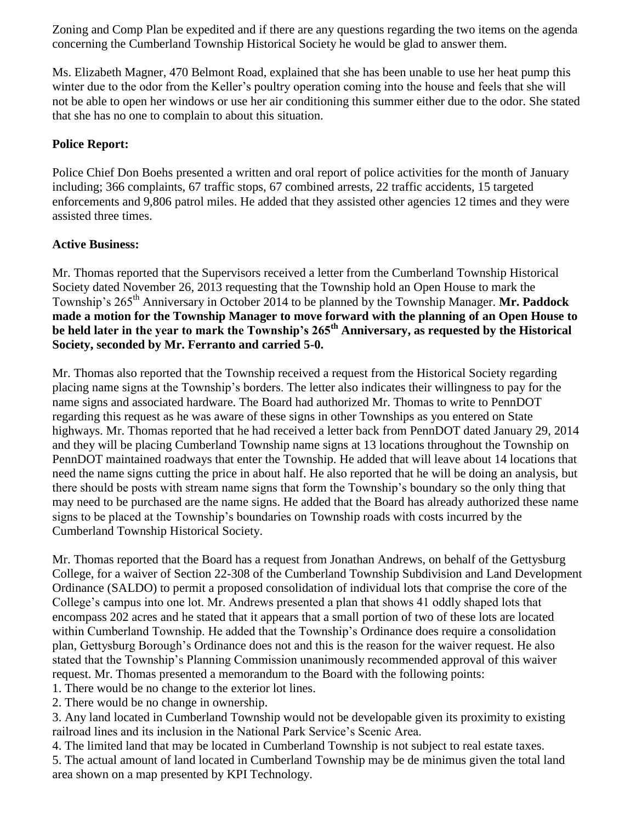Zoning and Comp Plan be expedited and if there are any questions regarding the two items on the agenda concerning the Cumberland Township Historical Society he would be glad to answer them.

Ms. Elizabeth Magner, 470 Belmont Road, explained that she has been unable to use her heat pump this winter due to the odor from the Keller's poultry operation coming into the house and feels that she will not be able to open her windows or use her air conditioning this summer either due to the odor. She stated that she has no one to complain to about this situation.

### **Police Report:**

Police Chief Don Boehs presented a written and oral report of police activities for the month of January including; 366 complaints, 67 traffic stops, 67 combined arrests, 22 traffic accidents, 15 targeted enforcements and 9,806 patrol miles. He added that they assisted other agencies 12 times and they were assisted three times.

### **Active Business:**

Mr. Thomas reported that the Supervisors received a letter from the Cumberland Township Historical Society dated November 26, 2013 requesting that the Township hold an Open House to mark the Township's 265th Anniversary in October 2014 to be planned by the Township Manager. **Mr. Paddock made a motion for the Township Manager to move forward with the planning of an Open House to be held later in the year to mark the Township's 265th Anniversary, as requested by the Historical Society, seconded by Mr. Ferranto and carried 5-0.**

Mr. Thomas also reported that the Township received a request from the Historical Society regarding placing name signs at the Township's borders. The letter also indicates their willingness to pay for the name signs and associated hardware. The Board had authorized Mr. Thomas to write to PennDOT regarding this request as he was aware of these signs in other Townships as you entered on State highways. Mr. Thomas reported that he had received a letter back from PennDOT dated January 29, 2014 and they will be placing Cumberland Township name signs at 13 locations throughout the Township on PennDOT maintained roadways that enter the Township. He added that will leave about 14 locations that need the name signs cutting the price in about half. He also reported that he will be doing an analysis, but there should be posts with stream name signs that form the Township's boundary so the only thing that may need to be purchased are the name signs. He added that the Board has already authorized these name signs to be placed at the Township's boundaries on Township roads with costs incurred by the Cumberland Township Historical Society.

Mr. Thomas reported that the Board has a request from Jonathan Andrews, on behalf of the Gettysburg College, for a waiver of Section 22-308 of the Cumberland Township Subdivision and Land Development Ordinance (SALDO) to permit a proposed consolidation of individual lots that comprise the core of the College's campus into one lot. Mr. Andrews presented a plan that shows 41 oddly shaped lots that encompass 202 acres and he stated that it appears that a small portion of two of these lots are located within Cumberland Township. He added that the Township's Ordinance does require a consolidation plan, Gettysburg Borough's Ordinance does not and this is the reason for the waiver request. He also stated that the Township's Planning Commission unanimously recommended approval of this waiver request. Mr. Thomas presented a memorandum to the Board with the following points:

1. There would be no change to the exterior lot lines.

2. There would be no change in ownership.

3. Any land located in Cumberland Township would not be developable given its proximity to existing railroad lines and its inclusion in the National Park Service's Scenic Area.

4. The limited land that may be located in Cumberland Township is not subject to real estate taxes.

5. The actual amount of land located in Cumberland Township may be de minimus given the total land area shown on a map presented by KPI Technology.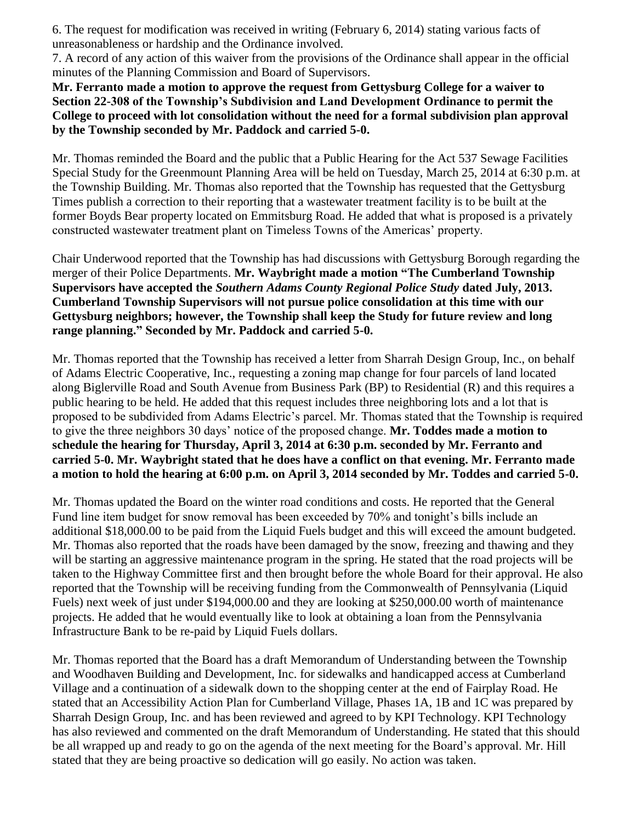6. The request for modification was received in writing (February 6, 2014) stating various facts of unreasonableness or hardship and the Ordinance involved.

7. A record of any action of this waiver from the provisions of the Ordinance shall appear in the official minutes of the Planning Commission and Board of Supervisors.

**Mr. Ferranto made a motion to approve the request from Gettysburg College for a waiver to Section 22-308 of the Township's Subdivision and Land Development Ordinance to permit the College to proceed with lot consolidation without the need for a formal subdivision plan approval by the Township seconded by Mr. Paddock and carried 5-0.**

Mr. Thomas reminded the Board and the public that a Public Hearing for the Act 537 Sewage Facilities Special Study for the Greenmount Planning Area will be held on Tuesday, March 25, 2014 at 6:30 p.m. at the Township Building. Mr. Thomas also reported that the Township has requested that the Gettysburg Times publish a correction to their reporting that a wastewater treatment facility is to be built at the former Boyds Bear property located on Emmitsburg Road. He added that what is proposed is a privately constructed wastewater treatment plant on Timeless Towns of the Americas' property.

Chair Underwood reported that the Township has had discussions with Gettysburg Borough regarding the merger of their Police Departments. **Mr. Waybright made a motion "The Cumberland Township Supervisors have accepted the** *Southern Adams County Regional Police Study* **dated July, 2013. Cumberland Township Supervisors will not pursue police consolidation at this time with our Gettysburg neighbors; however, the Township shall keep the Study for future review and long range planning." Seconded by Mr. Paddock and carried 5-0.**

Mr. Thomas reported that the Township has received a letter from Sharrah Design Group, Inc., on behalf of Adams Electric Cooperative, Inc., requesting a zoning map change for four parcels of land located along Biglerville Road and South Avenue from Business Park (BP) to Residential (R) and this requires a public hearing to be held. He added that this request includes three neighboring lots and a lot that is proposed to be subdivided from Adams Electric's parcel. Mr. Thomas stated that the Township is required to give the three neighbors 30 days' notice of the proposed change. **Mr. Toddes made a motion to schedule the hearing for Thursday, April 3, 2014 at 6:30 p.m. seconded by Mr. Ferranto and carried 5-0. Mr. Waybright stated that he does have a conflict on that evening. Mr. Ferranto made a motion to hold the hearing at 6:00 p.m. on April 3, 2014 seconded by Mr. Toddes and carried 5-0.** 

Mr. Thomas updated the Board on the winter road conditions and costs. He reported that the General Fund line item budget for snow removal has been exceeded by 70% and tonight's bills include an additional \$18,000.00 to be paid from the Liquid Fuels budget and this will exceed the amount budgeted. Mr. Thomas also reported that the roads have been damaged by the snow, freezing and thawing and they will be starting an aggressive maintenance program in the spring. He stated that the road projects will be taken to the Highway Committee first and then brought before the whole Board for their approval. He also reported that the Township will be receiving funding from the Commonwealth of Pennsylvania (Liquid Fuels) next week of just under \$194,000.00 and they are looking at \$250,000.00 worth of maintenance projects. He added that he would eventually like to look at obtaining a loan from the Pennsylvania Infrastructure Bank to be re-paid by Liquid Fuels dollars.

Mr. Thomas reported that the Board has a draft Memorandum of Understanding between the Township and Woodhaven Building and Development, Inc. for sidewalks and handicapped access at Cumberland Village and a continuation of a sidewalk down to the shopping center at the end of Fairplay Road. He stated that an Accessibility Action Plan for Cumberland Village, Phases 1A, 1B and 1C was prepared by Sharrah Design Group, Inc. and has been reviewed and agreed to by KPI Technology. KPI Technology has also reviewed and commented on the draft Memorandum of Understanding. He stated that this should be all wrapped up and ready to go on the agenda of the next meeting for the Board's approval. Mr. Hill stated that they are being proactive so dedication will go easily. No action was taken.